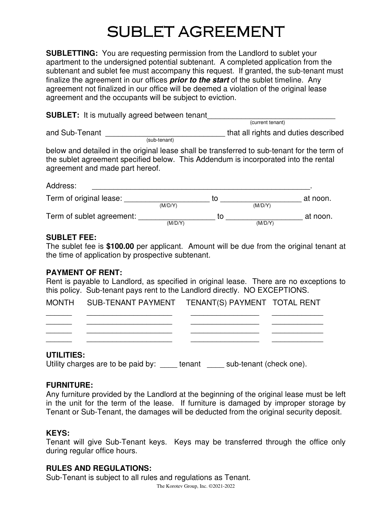# SUBLET AGREEMENT

**SUBLETTING:** You are requesting permission from the Landlord to sublet your apartment to the undersigned potential subtenant. A completed application from the subtenant and sublet fee must accompany this request. If granted, the sub-tenant must finalize the agreement in our offices **prior to the start** of the sublet timeline. Any agreement not finalized in our office will be deemed a violation of the original lease agreement and the occupants will be subject to eviction.

**SUBLET:** It is mutually agreed between tenant (current tenant) and Sub-Tenant \_\_\_\_\_\_\_\_\_\_\_\_\_\_\_\_\_\_\_\_\_\_\_\_\_\_\_\_ that all rights and duties described

 (sub-tenant) below and detailed in the original lease shall be transferred to sub-tenant for the term of the sublet agreement specified below. This Addendum is incorporated into the rental agreement and made part hereof.

| Address:                  |         |    |         |          |
|---------------------------|---------|----|---------|----------|
| Term of original lease:   |         | tΟ |         | at noon. |
|                           | (M/D/Y) |    | (M/D/Y) |          |
| Term of sublet agreement: |         | TΩ |         | at noon. |
|                           | (M/D/Y) |    | (M/D/Y) |          |

## **SUBLET FEE:**

The sublet fee is **\$100.00** per applicant. Amount will be due from the original tenant at the time of application by prospective subtenant.

### **PAYMENT OF RENT:**

Rent is payable to Landlord, as specified in original lease. There are no exceptions to this policy. Sub-tenant pays rent to the Landlord directly. NO EXCEPTIONS.

| MONTH SUB-TENANT PAYMENT TENANT(S) PAYMENT TOTAL RENT |  |
|-------------------------------------------------------|--|
|                                                       |  |
|                                                       |  |

\_\_\_\_\_\_ \_\_\_\_\_\_\_\_\_\_\_\_\_\_\_\_\_\_\_\_ \_\_\_\_\_\_\_\_\_\_\_\_\_\_\_\_ \_\_\_\_\_\_\_\_\_\_\_\_

### **UTILITIES:**

Utility charges are to be paid by: \_\_\_\_\_ tenant \_\_\_\_\_ sub-tenant (check one).

### **FURNITURE:**

Any furniture provided by the Landlord at the beginning of the original lease must be left in the unit for the term of the lease. If furniture is damaged by improper storage by Tenant or Sub-Tenant, the damages will be deducted from the original security deposit.

## **KEYS:**

Tenant will give Sub-Tenant keys. Keys may be transferred through the office only during regular office hours.

## **RULES AND REGULATIONS:**

Sub-Tenant is subject to all rules and regulations as Tenant.